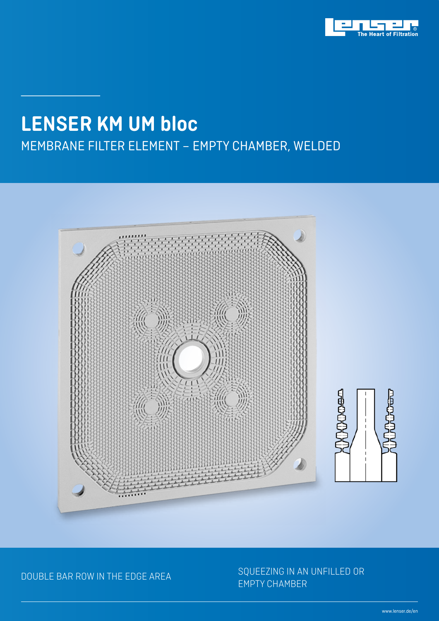

## MEMBRANE FILTER ELEMENT – EMPTY CHAMBER, WELDED **LENSER KM UM bloc**



## DOUBLE BAR ROW IN THE EDGE AREA SQUEEZING IN AN UNFILLED OR EMPTY CHAMBER

www.lenser.de/en